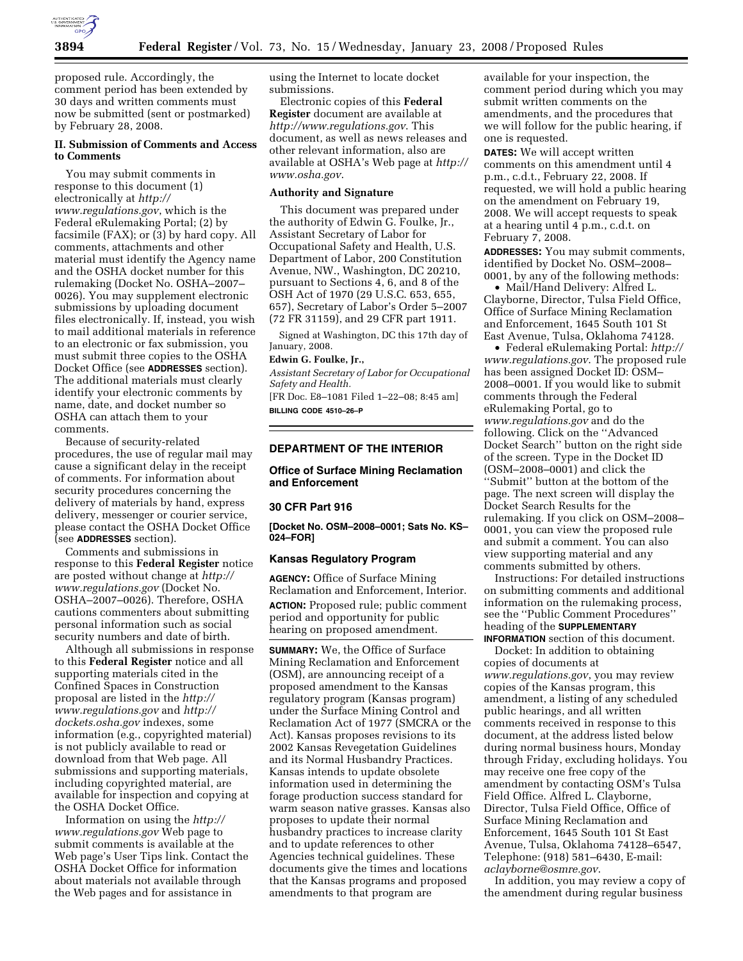

proposed rule. Accordingly, the comment period has been extended by 30 days and written comments must now be submitted (sent or postmarked) by February 28, 2008.

# **II. Submission of Comments and Access to Comments**

You may submit comments in response to this document (1) electronically at *http:// www.regulations.gov*, which is the Federal eRulemaking Portal; (2) by facsimile (FAX); or (3) by hard copy. All comments, attachments and other material must identify the Agency name and the OSHA docket number for this rulemaking (Docket No. OSHA–2007– 0026). You may supplement electronic submissions by uploading document files electronically. If, instead, you wish to mail additional materials in reference to an electronic or fax submission, you must submit three copies to the OSHA Docket Office (see **ADDRESSES** section). The additional materials must clearly identify your electronic comments by name, date, and docket number so OSHA can attach them to your comments.

Because of security-related procedures, the use of regular mail may cause a significant delay in the receipt of comments. For information about security procedures concerning the delivery of materials by hand, express delivery, messenger or courier service, please contact the OSHA Docket Office (see **ADDRESSES** section).

Comments and submissions in response to this **Federal Register** notice are posted without change at *http:// www.regulations.gov* (Docket No. OSHA–2007–0026). Therefore, OSHA cautions commenters about submitting personal information such as social security numbers and date of birth.

Although all submissions in response to this **Federal Register** notice and all supporting materials cited in the Confined Spaces in Construction proposal are listed in the *http:// www.regulations.gov* and *http:// dockets.osha.gov* indexes, some information (e.g., copyrighted material) is not publicly available to read or download from that Web page. All submissions and supporting materials, including copyrighted material, are available for inspection and copying at the OSHA Docket Office.

Information on using the *http:// www.regulations.gov* Web page to submit comments is available at the Web page's User Tips link. Contact the OSHA Docket Office for information about materials not available through the Web pages and for assistance in

using the Internet to locate docket submissions.

Electronic copies of this **Federal Register** document are available at *http://www.regulations.gov*. This document, as well as news releases and other relevant information, also are available at OSHA's Web page at *http:// www.osha.gov*.

# **Authority and Signature**

This document was prepared under the authority of Edwin G. Foulke, Jr., Assistant Secretary of Labor for Occupational Safety and Health, U.S. Department of Labor, 200 Constitution Avenue, NW., Washington, DC 20210, pursuant to Sections 4, 6, and 8 of the OSH Act of 1970 (29 U.S.C. 653, 655, 657), Secretary of Labor's Order 5–2007 (72 FR 31159), and 29 CFR part 1911.

Signed at Washington, DC this 17th day of January, 2008.

# **Edwin G. Foulke, Jr.,**

*Assistant Secretary of Labor for Occupational Safety and Health.* 

[FR Doc. E8–1081 Filed 1–22–08; 8:45 am] **BILLING CODE 4510–26–P** 

# **DEPARTMENT OF THE INTERIOR**

## **Office of Surface Mining Reclamation and Enforcement**

### **30 CFR Part 916**

**[Docket No. OSM–2008–0001; Sats No. KS– 024–FOR]** 

#### **Kansas Regulatory Program**

**AGENCY:** Office of Surface Mining Reclamation and Enforcement, Interior. **ACTION:** Proposed rule; public comment period and opportunity for public hearing on proposed amendment.

**SUMMARY:** We, the Office of Surface Mining Reclamation and Enforcement (OSM), are announcing receipt of a proposed amendment to the Kansas regulatory program (Kansas program) under the Surface Mining Control and Reclamation Act of 1977 (SMCRA or the Act). Kansas proposes revisions to its 2002 Kansas Revegetation Guidelines and its Normal Husbandry Practices. Kansas intends to update obsolete information used in determining the forage production success standard for warm season native grasses. Kansas also proposes to update their normal husbandry practices to increase clarity and to update references to other Agencies technical guidelines. These documents give the times and locations that the Kansas programs and proposed amendments to that program are

available for your inspection, the comment period during which you may submit written comments on the amendments, and the procedures that we will follow for the public hearing, if one is requested.

**DATES:** We will accept written comments on this amendment until 4 p.m., c.d.t., February 22, 2008. If requested, we will hold a public hearing on the amendment on February 19, 2008. We will accept requests to speak at a hearing until 4 p.m., c.d.t. on February 7, 2008.

**ADDRESSES:** You may submit comments, identified by Docket No. OSM–2008– 0001, by any of the following methods:

• Mail/Hand Delivery: Alfred L. Clayborne, Director, Tulsa Field Office, Office of Surface Mining Reclamation and Enforcement, 1645 South 101 St East Avenue, Tulsa, Oklahoma 74128.

• Federal eRulemaking Portal: *http:// www.regulations.gov*. The proposed rule has been assigned Docket ID: OSM– 2008–0001. If you would like to submit comments through the Federal eRulemaking Portal, go to *www.regulations.gov* and do the following. Click on the ''Advanced Docket Search'' button on the right side of the screen. Type in the Docket ID (OSM–2008–0001) and click the ''Submit'' button at the bottom of the page. The next screen will display the Docket Search Results for the rulemaking. If you click on OSM–2008– 0001, you can view the proposed rule and submit a comment. You can also view supporting material and any comments submitted by others.

Instructions: For detailed instructions on submitting comments and additional information on the rulemaking process, see the ''Public Comment Procedures'' heading of the **SUPPLEMENTARY INFORMATION** section of this document.

Docket: In addition to obtaining copies of documents at *www.regulations.gov*, you may review copies of the Kansas program, this amendment, a listing of any scheduled public hearings, and all written comments received in response to this document, at the address listed below during normal business hours, Monday through Friday, excluding holidays. You may receive one free copy of the amendment by contacting OSM's Tulsa Field Office. Alfred L. Clayborne, Director, Tulsa Field Office, Office of Surface Mining Reclamation and Enforcement, 1645 South 101 St East Avenue, Tulsa, Oklahoma 74128–6547, Telephone: (918) 581–6430, E-mail: *aclayborne@osmre.gov*.

In addition, you may review a copy of the amendment during regular business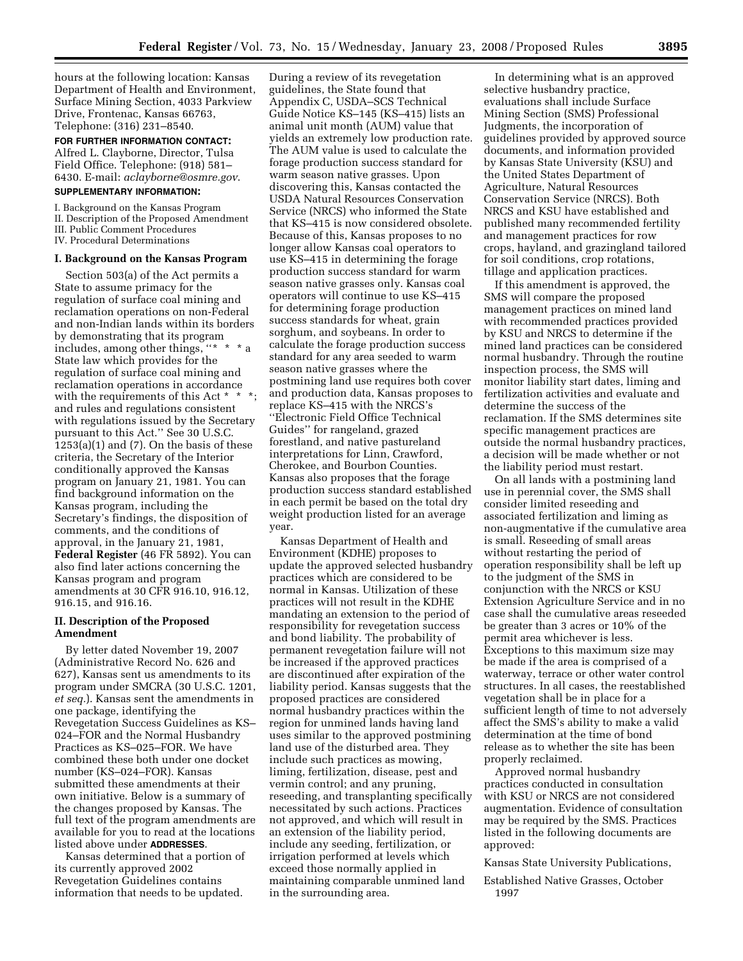hours at the following location: Kansas Department of Health and Environment, Surface Mining Section, 4033 Parkview Drive, Frontenac, Kansas 66763, Telephone: (316) 231–8540.

**FOR FURTHER INFORMATION CONTACT:**  Alfred L. Clayborne, Director, Tulsa Field Office. Telephone: (918) 581– 6430. E-mail: *aclayborne@osmre.gov*.

# **SUPPLEMENTARY INFORMATION:**

I. Background on the Kansas Program II. Description of the Proposed Amendment III. Public Comment Procedures

IV. Procedural Determinations

#### **I. Background on the Kansas Program**

Section 503(a) of the Act permits a State to assume primacy for the regulation of surface coal mining and reclamation operations on non-Federal and non-Indian lands within its borders by demonstrating that its program includes, among other things, "\* \* \* a State law which provides for the regulation of surface coal mining and reclamation operations in accordance with the requirements of this Act  $*$ and rules and regulations consistent with regulations issued by the Secretary pursuant to this Act.'' See 30 U.S.C.  $1253(a)(1)$  and  $(7)$ . On the basis of these criteria, the Secretary of the Interior conditionally approved the Kansas program on January 21, 1981. You can find background information on the Kansas program, including the Secretary's findings, the disposition of comments, and the conditions of approval, in the January 21, 1981, **Federal Register** (46 FR 5892). You can also find later actions concerning the Kansas program and program amendments at 30 CFR 916.10, 916.12, 916.15, and 916.16.

### **II. Description of the Proposed Amendment**

By letter dated November 19, 2007 (Administrative Record No. 626 and 627), Kansas sent us amendments to its program under SMCRA (30 U.S.C. 1201, *et seq.*). Kansas sent the amendments in one package, identifying the Revegetation Success Guidelines as KS– 024–FOR and the Normal Husbandry Practices as KS–025–FOR. We have combined these both under one docket number (KS–024–FOR). Kansas submitted these amendments at their own initiative. Below is a summary of the changes proposed by Kansas. The full text of the program amendments are available for you to read at the locations listed above under **ADDRESSES**.

Kansas determined that a portion of its currently approved 2002 Revegetation Guidelines contains information that needs to be updated.

During a review of its revegetation guidelines, the State found that Appendix C, USDA–SCS Technical Guide Notice KS–145 (KS–415) lists an animal unit month (AUM) value that yields an extremely low production rate. The AUM value is used to calculate the forage production success standard for warm season native grasses. Upon discovering this, Kansas contacted the USDA Natural Resources Conservation Service (NRCS) who informed the State that KS–415 is now considered obsolete. Because of this, Kansas proposes to no longer allow Kansas coal operators to use KS–415 in determining the forage production success standard for warm season native grasses only. Kansas coal operators will continue to use KS–415 for determining forage production success standards for wheat, grain sorghum, and soybeans. In order to calculate the forage production success standard for any area seeded to warm season native grasses where the postmining land use requires both cover and production data, Kansas proposes to replace KS–415 with the NRCS's ''Electronic Field Office Technical Guides'' for rangeland, grazed forestland, and native pastureland interpretations for Linn, Crawford, Cherokee, and Bourbon Counties. Kansas also proposes that the forage production success standard established in each permit be based on the total dry weight production listed for an average year.

Kansas Department of Health and Environment (KDHE) proposes to update the approved selected husbandry practices which are considered to be normal in Kansas. Utilization of these practices will not result in the KDHE mandating an extension to the period of responsibility for revegetation success and bond liability. The probability of permanent revegetation failure will not be increased if the approved practices are discontinued after expiration of the liability period. Kansas suggests that the proposed practices are considered normal husbandry practices within the region for unmined lands having land uses similar to the approved postmining land use of the disturbed area. They include such practices as mowing, liming, fertilization, disease, pest and vermin control; and any pruning, reseeding, and transplanting specifically necessitated by such actions. Practices not approved, and which will result in an extension of the liability period, include any seeding, fertilization, or irrigation performed at levels which exceed those normally applied in maintaining comparable unmined land in the surrounding area.

In determining what is an approved selective husbandry practice, evaluations shall include Surface Mining Section (SMS) Professional Judgments, the incorporation of guidelines provided by approved source documents, and information provided by Kansas State University (KSU) and the United States Department of Agriculture, Natural Resources Conservation Service (NRCS). Both NRCS and KSU have established and published many recommended fertility and management practices for row crops, hayland, and grazingland tailored for soil conditions, crop rotations, tillage and application practices.

If this amendment is approved, the SMS will compare the proposed management practices on mined land with recommended practices provided by KSU and NRCS to determine if the mined land practices can be considered normal husbandry. Through the routine inspection process, the SMS will monitor liability start dates, liming and fertilization activities and evaluate and determine the success of the reclamation. If the SMS determines site specific management practices are outside the normal husbandry practices, a decision will be made whether or not the liability period must restart.

On all lands with a postmining land use in perennial cover, the SMS shall consider limited reseeding and associated fertilization and liming as non-augmentative if the cumulative area is small. Reseeding of small areas without restarting the period of operation responsibility shall be left up to the judgment of the SMS in conjunction with the NRCS or KSU Extension Agriculture Service and in no case shall the cumulative areas reseeded be greater than 3 acres or 10% of the permit area whichever is less. Exceptions to this maximum size may be made if the area is comprised of a waterway, terrace or other water control structures. In all cases, the reestablished vegetation shall be in place for a sufficient length of time to not adversely affect the SMS's ability to make a valid determination at the time of bond release as to whether the site has been properly reclaimed.

Approved normal husbandry practices conducted in consultation with KSU or NRCS are not considered augmentation. Evidence of consultation may be required by the SMS. Practices listed in the following documents are approved:

Kansas State University Publications,

Established Native Grasses, October 1997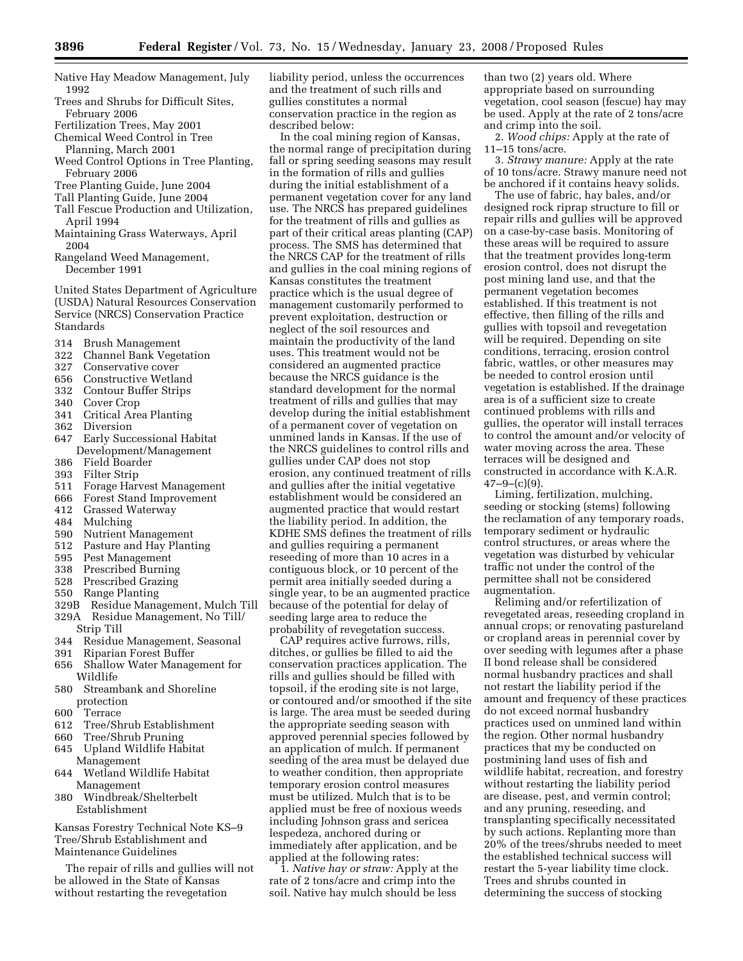- Native Hay Meadow Management, July 1992
- Trees and Shrubs for Difficult Sites, February 2006
- Fertilization Trees, May 2001
- Chemical Weed Control in Tree Planning, March 2001
- Weed Control Options in Tree Planting, February 2006
- Tree Planting Guide, June 2004
- Tall Planting Guide, June 2004
- Tall Fescue Production and Utilization, April 1994
- Maintaining Grass Waterways, April 2004
- Rangeland Weed Management, December 1991

United States Department of Agriculture (USDA) Natural Resources Conservation Service (NRCS) Conservation Practice Standards

- 314 Brush Management
- 322 Channel Bank Vegetation
- 327 Conservative cover
- 656 Constructive Wetland
- 332 Contour Buffer Strips
- 340 Cover Crop
- 341 Critical Area Planting
- 362 Diversion
- 647 Early Successional Habitat Development/Management
- 386 Field Boarder
- Filter Strip
- 511 Forage Harvest Management
- 666 Forest Stand Improvement
- 412 Grassed Waterway
- 484 Mulching
- 590 Nutrient Management
- 512 Pasture and Hay Planting
- 595 Pest Management
- 338 Prescribed Burning
- 528 Prescribed Grazing
- 550 Range Planting
- 329B Residue Management, Mulch Till
- 329A Residue Management, No Till/
- Strip Till
- 344 Residue Management, Seasonal
- 391 Riparian Forest Buffer
- 656 Shallow Water Management for Wildlife
- 580 Streambank and Shoreline protection
- 600 Terrace
- 612 Tree/Shrub Establishment
- 660 Tree/Shrub Pruning
- 645 Upland Wildlife Habitat Management
- 644 Wetland Wildlife Habitat Management
- 380 Windbreak/Shelterbelt Establishment

Kansas Forestry Technical Note KS–9 Tree/Shrub Establishment and Maintenance Guidelines

The repair of rills and gullies will not be allowed in the State of Kansas without restarting the revegetation

liability period, unless the occurrences and the treatment of such rills and gullies constitutes a normal conservation practice in the region as described below:

In the coal mining region of Kansas, the normal range of precipitation during fall or spring seeding seasons may result in the formation of rills and gullies during the initial establishment of a permanent vegetation cover for any land use. The NRCS has prepared guidelines for the treatment of rills and gullies as part of their critical areas planting (CAP) process. The SMS has determined that the NRCS CAP for the treatment of rills and gullies in the coal mining regions of Kansas constitutes the treatment practice which is the usual degree of management customarily performed to prevent exploitation, destruction or neglect of the soil resources and maintain the productivity of the land uses. This treatment would not be considered an augmented practice because the NRCS guidance is the standard development for the normal treatment of rills and gullies that may develop during the initial establishment of a permanent cover of vegetation on unmined lands in Kansas. If the use of the NRCS guidelines to control rills and gullies under CAP does not stop erosion, any continued treatment of rills and gullies after the initial vegetative establishment would be considered an augmented practice that would restart the liability period. In addition, the KDHE SMS defines the treatment of rills and gullies requiring a permanent reseeding of more than 10 acres in a contiguous block, or 10 percent of the permit area initially seeded during a single year, to be an augmented practice because of the potential for delay of seeding large area to reduce the probability of revegetation success.

CAP requires active furrows, rills, ditches, or gullies be filled to aid the conservation practices application. The rills and gullies should be filled with topsoil, if the eroding site is not large, or contoured and/or smoothed if the site is large. The area must be seeded during the appropriate seeding season with approved perennial species followed by an application of mulch. If permanent seeding of the area must be delayed due to weather condition, then appropriate temporary erosion control measures must be utilized. Mulch that is to be applied must be free of noxious weeds including Johnson grass and sericea lespedeza, anchored during or immediately after application, and be applied at the following rates:

1. *Native hay or straw:* Apply at the rate of 2 tons/acre and crimp into the soil. Native hay mulch should be less

than two (2) years old. Where appropriate based on surrounding vegetation, cool season (fescue) hay may be used. Apply at the rate of 2 tons/acre and crimp into the soil.

2. *Wood chips:* Apply at the rate of 11–15 tons/acre.

3. *Strawy manure:* Apply at the rate of 10 tons/acre. Strawy manure need not be anchored if it contains heavy solids.

The use of fabric, hay bales, and/or designed rock riprap structure to fill or repair rills and gullies will be approved on a case-by-case basis. Monitoring of these areas will be required to assure that the treatment provides long-term erosion control, does not disrupt the post mining land use, and that the permanent vegetation becomes established. If this treatment is not effective, then filling of the rills and gullies with topsoil and revegetation will be required. Depending on site conditions, terracing, erosion control fabric, wattles, or other measures may be needed to control erosion until vegetation is established. If the drainage area is of a sufficient size to create continued problems with rills and gullies, the operator will install terraces to control the amount and/or velocity of water moving across the area. These terraces will be designed and constructed in accordance with K.A.R.  $47-9-(c)(9)$ .

Liming, fertilization, mulching, seeding or stocking (stems) following the reclamation of any temporary roads, temporary sediment or hydraulic control structures, or areas where the vegetation was disturbed by vehicular traffic not under the control of the permittee shall not be considered augmentation.

Reliming and/or refertilization of revegetated areas, reseeding cropland in annual crops; or renovating pastureland or cropland areas in perennial cover by over seeding with legumes after a phase II bond release shall be considered normal husbandry practices and shall not restart the liability period if the amount and frequency of these practices do not exceed normal husbandry practices used on unmined land within the region. Other normal husbandry practices that my be conducted on postmining land uses of fish and wildlife habitat, recreation, and forestry without restarting the liability period are disease, pest, and vermin control; and any pruning, reseeding, and transplanting specifically necessitated by such actions. Replanting more than 20% of the trees/shrubs needed to meet the established technical success will restart the 5-year liability time clock. Trees and shrubs counted in determining the success of stocking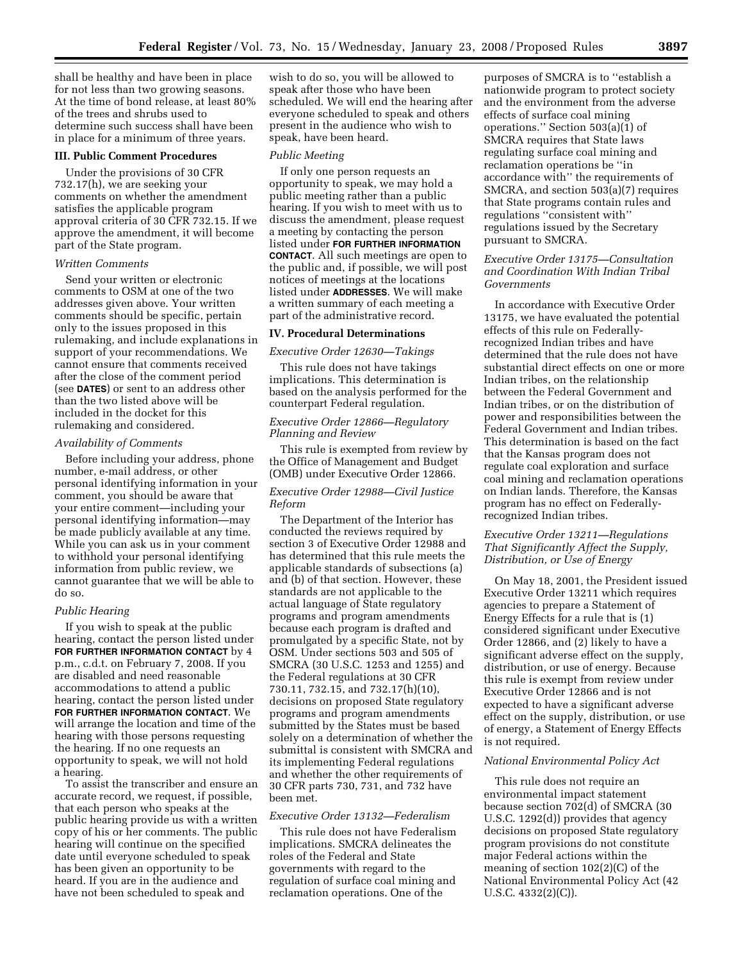shall be healthy and have been in place for not less than two growing seasons. At the time of bond release, at least 80% of the trees and shrubs used to determine such success shall have been in place for a minimum of three years.

#### **III. Public Comment Procedures**

Under the provisions of 30 CFR 732.17(h), we are seeking your comments on whether the amendment satisfies the applicable program approval criteria of 30 CFR 732.15. If we approve the amendment, it will become part of the State program.

#### *Written Comments*

Send your written or electronic comments to OSM at one of the two addresses given above. Your written comments should be specific, pertain only to the issues proposed in this rulemaking, and include explanations in support of your recommendations. We cannot ensure that comments received after the close of the comment period (see **DATES**) or sent to an address other than the two listed above will be included in the docket for this rulemaking and considered.

#### *Availability of Comments*

Before including your address, phone number, e-mail address, or other personal identifying information in your comment, you should be aware that your entire comment—including your personal identifying information—may be made publicly available at any time. While you can ask us in your comment to withhold your personal identifying information from public review, we cannot guarantee that we will be able to do so.

#### *Public Hearing*

If you wish to speak at the public hearing, contact the person listed under **FOR FURTHER INFORMATION CONTACT** by 4 p.m., c.d.t. on February 7, 2008. If you are disabled and need reasonable accommodations to attend a public hearing, contact the person listed under **FOR FURTHER INFORMATION CONTACT**. We will arrange the location and time of the hearing with those persons requesting the hearing. If no one requests an opportunity to speak, we will not hold a hearing.

To assist the transcriber and ensure an accurate record, we request, if possible, that each person who speaks at the public hearing provide us with a written copy of his or her comments. The public hearing will continue on the specified date until everyone scheduled to speak has been given an opportunity to be heard. If you are in the audience and have not been scheduled to speak and

wish to do so, you will be allowed to speak after those who have been scheduled. We will end the hearing after everyone scheduled to speak and others present in the audience who wish to speak, have been heard.

#### *Public Meeting*

If only one person requests an opportunity to speak, we may hold a public meeting rather than a public hearing. If you wish to meet with us to discuss the amendment, please request a meeting by contacting the person listed under **FOR FURTHER INFORMATION CONTACT**. All such meetings are open to the public and, if possible, we will post notices of meetings at the locations listed under **ADDRESSES**. We will make a written summary of each meeting a part of the administrative record.

# **IV. Procedural Determinations**

#### *Executive Order 12630—Takings*

This rule does not have takings implications. This determination is based on the analysis performed for the counterpart Federal regulation.

# *Executive Order 12866—Regulatory Planning and Review*

This rule is exempted from review by the Office of Management and Budget (OMB) under Executive Order 12866.

# *Executive Order 12988—Civil Justice Reform*

The Department of the Interior has conducted the reviews required by section 3 of Executive Order 12988 and has determined that this rule meets the applicable standards of subsections (a) and (b) of that section. However, these standards are not applicable to the actual language of State regulatory programs and program amendments because each program is drafted and promulgated by a specific State, not by OSM. Under sections 503 and 505 of SMCRA (30 U.S.C. 1253 and 1255) and the Federal regulations at 30 CFR 730.11, 732.15, and 732.17(h)(10), decisions on proposed State regulatory programs and program amendments submitted by the States must be based solely on a determination of whether the submittal is consistent with SMCRA and its implementing Federal regulations and whether the other requirements of 30 CFR parts 730, 731, and 732 have been met.

#### *Executive Order 13132—Federalism*

This rule does not have Federalism implications. SMCRA delineates the roles of the Federal and State governments with regard to the regulation of surface coal mining and reclamation operations. One of the

purposes of SMCRA is to ''establish a nationwide program to protect society and the environment from the adverse effects of surface coal mining operations." Section  $503(a)(1)$  of SMCRA requires that State laws regulating surface coal mining and reclamation operations be ''in accordance with'' the requirements of SMCRA, and section 503(a)(7) requires that State programs contain rules and regulations ''consistent with'' regulations issued by the Secretary pursuant to SMCRA.

# *Executive Order 13175—Consultation and Coordination With Indian Tribal Governments*

In accordance with Executive Order 13175, we have evaluated the potential effects of this rule on Federallyrecognized Indian tribes and have determined that the rule does not have substantial direct effects on one or more Indian tribes, on the relationship between the Federal Government and Indian tribes, or on the distribution of power and responsibilities between the Federal Government and Indian tribes. This determination is based on the fact that the Kansas program does not regulate coal exploration and surface coal mining and reclamation operations on Indian lands. Therefore, the Kansas program has no effect on Federallyrecognized Indian tribes.

### *Executive Order 13211—Regulations That Significantly Affect the Supply, Distribution, or Use of Energy*

On May 18, 2001, the President issued Executive Order 13211 which requires agencies to prepare a Statement of Energy Effects for a rule that is (1) considered significant under Executive Order 12866, and (2) likely to have a significant adverse effect on the supply, distribution, or use of energy. Because this rule is exempt from review under Executive Order 12866 and is not expected to have a significant adverse effect on the supply, distribution, or use of energy, a Statement of Energy Effects is not required.

#### *National Environmental Policy Act*

This rule does not require an environmental impact statement because section 702(d) of SMCRA (30 U.S.C. 1292(d)) provides that agency decisions on proposed State regulatory program provisions do not constitute major Federal actions within the meaning of section 102(2)(C) of the National Environmental Policy Act (42 U.S.C. 4332(2)(C)).